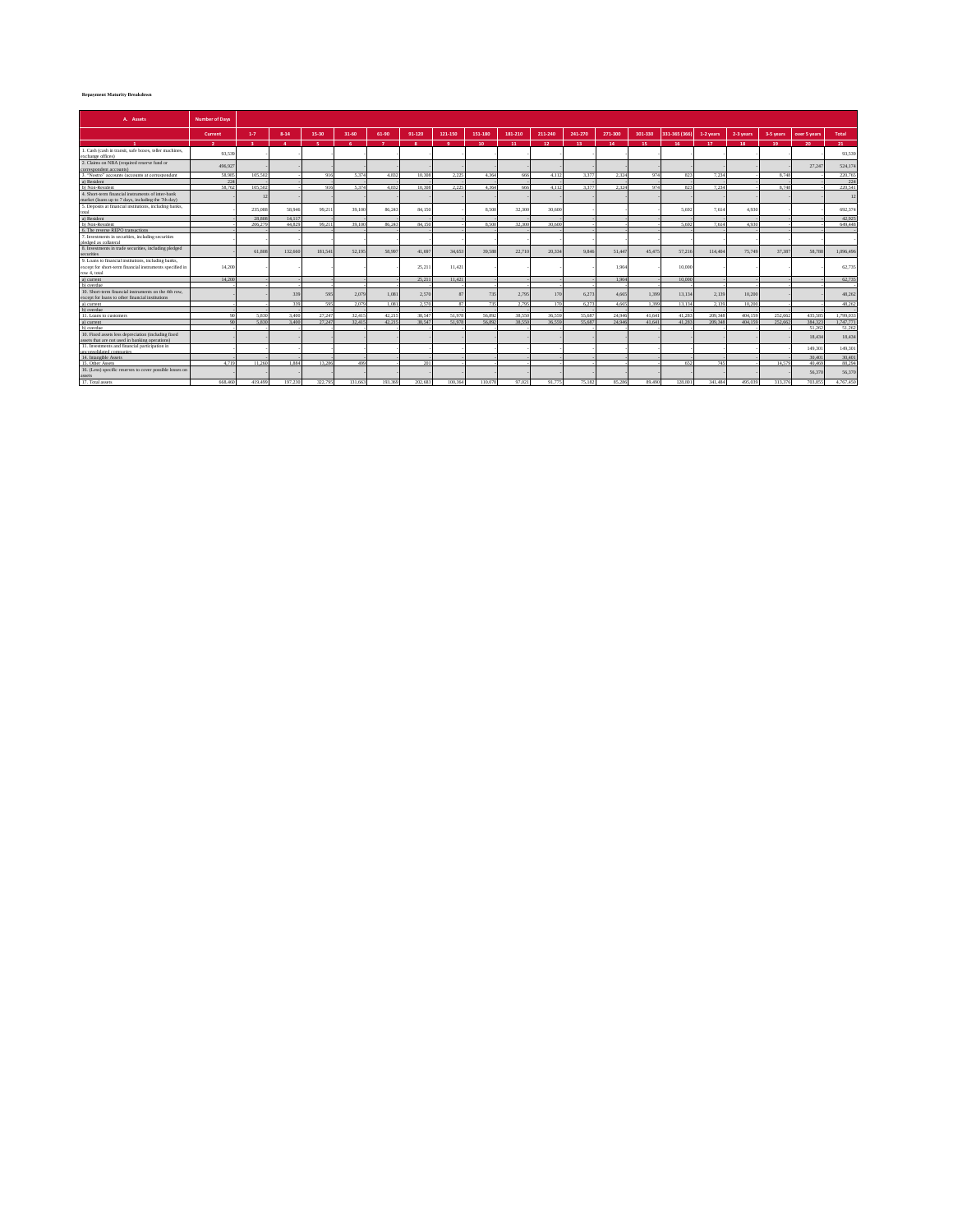## **Repayment Maturity Breakdown**

| A. Assets                                                                                               | <b>Number of Days</b> |              |          |          |           |                |                         |              |                 |         |         |         |         |         |               |                  |           |           |                 |                 |
|---------------------------------------------------------------------------------------------------------|-----------------------|--------------|----------|----------|-----------|----------------|-------------------------|--------------|-----------------|---------|---------|---------|---------|---------|---------------|------------------|-----------|-----------|-----------------|-----------------|
|                                                                                                         | Current               | $1-7$        | $8 - 14$ | 15-30    | $31 - 60$ | 61-90          | 91-120                  | 121-150      | 151-180         | 181-210 | 211-240 | 241-270 | 271-300 | 301-330 | 331-365 (366) | 1-2 years        | 2-3 years | 3-5 years | over 5 years    | <b>Total</b>    |
|                                                                                                         | $\overline{2}$        | $\mathbf{R}$ | $\Delta$ | <b>S</b> | -6.       | $\overline{z}$ | $\overline{\mathbf{R}}$ | -9.          | 10 <sub>1</sub> | 11      | $12-$   | 13      | 14      | 15      | 16            | 17 <sup>17</sup> | 18        | 19        | 20 <sub>1</sub> | 21              |
| 1. Cash (cash in transit, safe boxes, teller machines,<br>exchange offices)                             | 93,539                |              |          |          |           |                |                         |              |                 |         |         |         |         |         |               |                  |           |           |                 | 93.539          |
| 2. Claims on NBA (required reserve fund or<br>correspondent accounts)                                   | 496,927               |              |          |          |           |                |                         |              |                 |         |         |         |         |         |               |                  |           |           | 27.24           | 524,174         |
| 3. "Nostro" accounts (accounts at correspondent                                                         | 58,985                | 105.502      |          | 916      | 5.374     | 4.832          | 10.308                  | 2.225        | 4.364           | 666     | 4.117   | 3.377   | 2.324   | 974     | 823           | 7.234            |           | 8.748     |                 | 220,765         |
| a) Resident                                                                                             | m <sub>4</sub>        |              |          |          |           |                |                         |              |                 |         |         |         |         |         |               |                  |           |           |                 | 224             |
| b) Non-Resident                                                                                         | 58.762                | 105.503      |          | 01       | 5.274     | 4.832          | 10.308                  | 2.225        | 4.364           | 666     | 4112    | 3.277   | 2.224   | Q74     | 822           | 7.23             |           | 8.743     |                 | 220.541         |
| 4. Short-term financial instruments of inter-bank                                                       |                       | 12           |          |          |           |                |                         |              |                 |         |         |         |         |         |               |                  |           |           |                 | $\overline{12}$ |
| market (loans up to 7 days, including the 7th day)                                                      |                       |              |          |          |           |                |                         |              |                 |         |         |         |         |         |               |                  |           |           |                 |                 |
| 5. Deposits at financial institutions, including banks,<br>total                                        |                       | 235,088      | 58,946   | 99.21    | 39,100    | 86,243         | 84,150                  |              | 8,500           | 32.300  | 30,600  |         |         |         | 5.692         | 7.614            | 4.93      |           |                 | 692,374         |
| a) Resident                                                                                             |                       | 28.808       | 14.117   |          |           |                |                         |              |                 |         |         |         |         |         |               |                  |           |           |                 | 42.925          |
| b) Non-Resident                                                                                         |                       | 206,279      | 44.829   | 99.21    | 39.100    | 86,243         | 84.150                  |              | 8,500           | 32.300  | 30,600  |         |         |         | 5.692         | 7.614            | 4.936     |           |                 | 649,448         |
| 6. The reverse REPO transactions                                                                        |                       |              |          |          |           |                |                         |              |                 |         |         |         |         |         |               |                  |           |           |                 |                 |
| 7. Investments in securities, including securities                                                      |                       |              |          |          |           |                |                         |              |                 |         |         |         |         |         |               |                  |           |           |                 |                 |
| pledged as collateral                                                                                   |                       |              |          |          |           |                |                         |              |                 |         |         |         |         |         |               |                  |           |           |                 |                 |
| 8. Investments in trade securities, including pledged                                                   |                       | 61.80        | 132,660  | 181.54   | 52.195    | 58,997         | 41,697                  | 34,653       | 39,588          | 22,710  | 20.334  | 9,846   | 51,447  | 45,475  | 57.216        | 114,404          | 75,749    | 37.38     | 58,788          | 1,096,496       |
| securities                                                                                              |                       |              |          |          |           |                |                         |              |                 |         |         |         |         |         |               |                  |           |           |                 |                 |
| 9. Loans to financial institutions, including banks,                                                    |                       |              |          |          |           |                |                         |              |                 |         |         |         |         |         |               |                  |           |           |                 |                 |
| except for short-term financial instruments specified in                                                | 14,200                |              |          |          |           |                | 25.211                  | 11.421       |                 |         |         |         | 1.904   |         | 10,000        |                  |           |           |                 | 62,735          |
| row 4, total                                                                                            |                       |              |          |          |           |                |                         |              |                 |         |         |         |         |         |               |                  |           |           |                 |                 |
| a) current                                                                                              | 14.200                |              |          |          |           |                | 25.211                  | 11.421       |                 |         |         |         | 1904    |         | 10,000        |                  |           |           |                 | 62,735          |
| b) overdue                                                                                              |                       |              |          |          |           |                |                         |              |                 |         |         |         |         |         |               |                  |           |           |                 |                 |
| 10. Short-term financial instruments on the 4th row-                                                    |                       |              | 339      | 595      | 2.079     | 1.081          | 2,570                   | $\mathbf{x}$ | 735             | 2.795   | 170     | 6.273   | 4.665   | 1.399   | 13.134        | 2.139            | 10.20     |           |                 | 48,26           |
| except for loans to other financial institutions                                                        |                       |              |          |          |           |                |                         |              |                 |         |         |         |         |         |               |                  |           |           |                 |                 |
| a) current                                                                                              |                       |              | 220      | 595      | 2.079     | 1.081          | 2.570                   | 97           | 725             | 2.795   | 170     | 6.273   | 4.665   | 1.399   | 13.134        | 2.139            | 10.20     |           |                 | 48.262          |
| b) overdue                                                                                              |                       |              |          |          |           |                |                         |              |                 |         |         |         |         |         |               |                  |           |           |                 |                 |
| 11 Loans to customers                                                                                   | on                    | 5.920        | 3.400    | 27.247   | 32.419    | 42.215         | 28.547                  | 51.978       | 56.992          | 38.550  | 36,559  | 55,687  | 24.946  | 41,641  | 41.283        | 200.249          | 404.159   | 252.663   | 435.58          | 1,799.033       |
| a) current                                                                                              | 90 <sub>0</sub>       | 5.830        | 3,400    | 27.247   | 32.415    | 42.215         | 38.547                  | 51.978       | 56.892          | 38.550  | 36.559  | 55.687  | 24.946  | 41,641  | 41.283        | 209.348          | 404,159   | 252.662   | 384.321         | 1.747.771       |
| b) overdue                                                                                              |                       |              |          |          |           |                |                         |              |                 |         |         |         |         |         |               |                  |           |           | 51.263          | 51.262          |
| 10. Fixed assets less depreciation (including fixed<br>assets that are not used in banking operations). |                       |              |          |          |           |                |                         |              |                 |         |         |         |         |         |               |                  |           |           | 18,434          | 18,434          |
| 11. Investments and financial participation in                                                          |                       |              |          |          |           |                |                         |              |                 |         |         |         |         |         |               |                  |           |           | 149,301         | 149,301         |
| unconsolidated companies<br>14. Intangible Assets                                                       |                       |              |          |          |           |                |                         |              |                 |         |         |         |         |         |               |                  |           |           | 30.40           | 30,401          |
| 15 Other Assets                                                                                         | 4719                  | 11.260       | 1.994    | 12.286   | 400       |                | 201                     |              |                 |         |         |         |         |         | 652           | 749              |           | 14.57     | 40.46           | 88,294          |
| 16. (Less) specific reserves to cover possible losses on<br>assets                                      |                       |              |          |          |           |                |                         |              |                 |         |         |         |         |         |               |                  |           |           | 56.37           | 56,370          |
| 17. Total assets                                                                                        | 668,460               | 419,499      | 197.230  | 322.795  | 131.663   | 193.369        | 202.683                 | 100.364      | 110.078         | 97.021  | 91 775  | 75 182  | 85.286  | 89,490  | 128.801       | 341,484          | 495.039   | 313.376   | 703.855         | 4.767.450       |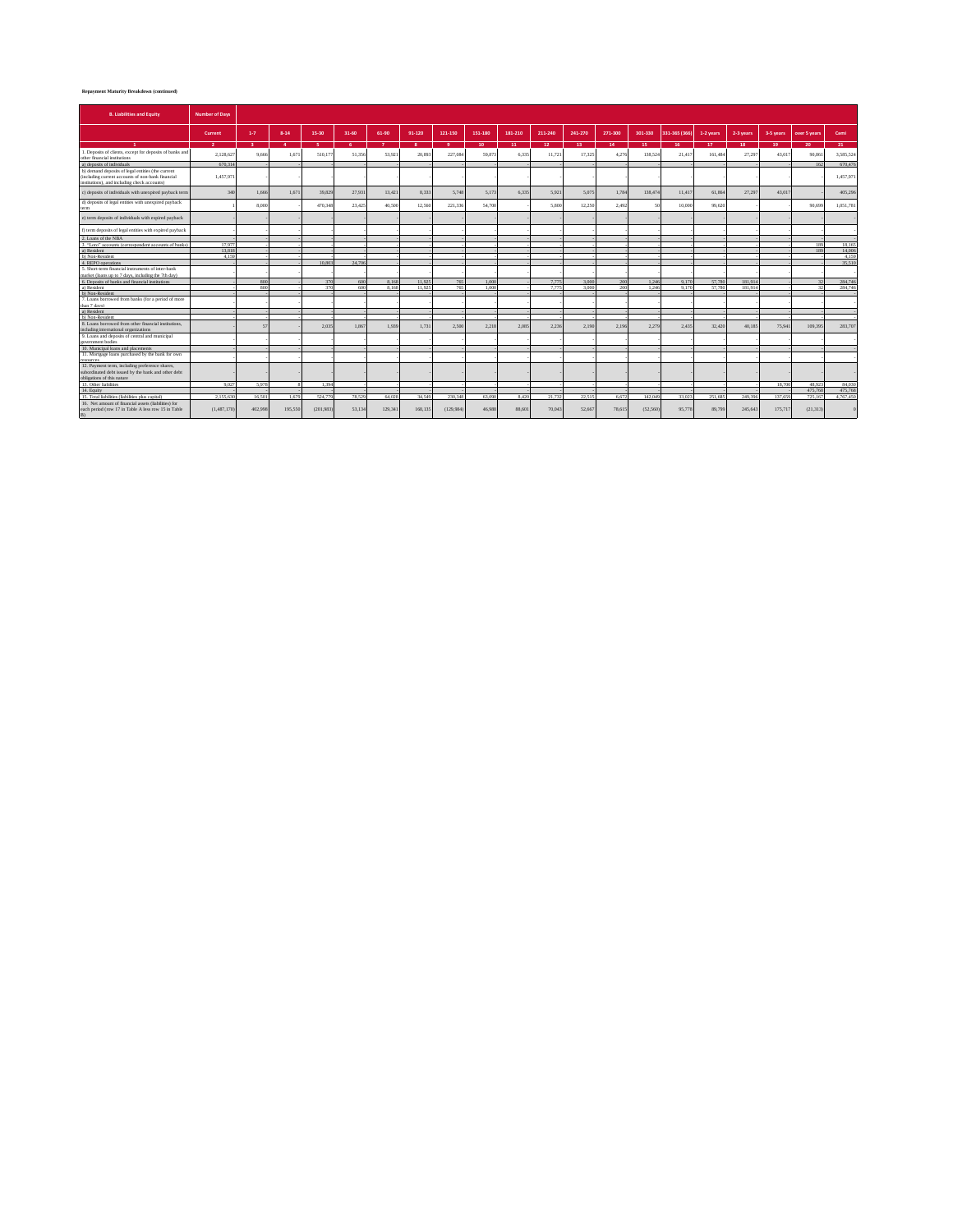## **Repayment Maturity Breakdown (continued)**

| <b>B. Liabilities and Equity</b>                                                                                                                       | <b>Number of Days</b> |         |                |           |           |              |           |           |                  |         |                 |         |                 |          |               |                  |           |           |                 |           |
|--------------------------------------------------------------------------------------------------------------------------------------------------------|-----------------------|---------|----------------|-----------|-----------|--------------|-----------|-----------|------------------|---------|-----------------|---------|-----------------|----------|---------------|------------------|-----------|-----------|-----------------|-----------|
|                                                                                                                                                        | Current               | $1 - 7$ | $8 - 14$       | 15-30     | $31 - 60$ | 61-90        | 91-120    | 121-150   | 151-180          | 181-210 | 211-240         | 241-270 | 271-300         | 301-330  | 331-365 (366) | 1-2 years        | 2-3 years | 3-5 years | over 5 years    | Cami      |
|                                                                                                                                                        | $\sim$                | -       | $\overline{A}$ | ٠         | ×.        | $\mathbf{z}$ | $\bullet$ | $\bullet$ | 10 <sub>10</sub> | 11      | 12 <sup>7</sup> | 13.     | 14 <sub>1</sub> | 15.      | 16.           | 17 <sub>17</sub> | 18        | 19        | 20 <sub>1</sub> | 21        |
| 1. Deposits of clients, except for deposits of banks and<br>ther financial institutions                                                                | 2.128.62              | 9,666   | 1.67           | 510.17    | 51.356    | 53,921       | 20,893    | 227.084   | 59.87            | 6.33    | 11.721          | 17.325  | 4.276           | 138.524  | 21.417        | 161,484          | 27.297    | 43.01     | 90.86           | 3,585,524 |
| a) deposits of individuals                                                                                                                             | 670.314               |         |                |           |           |              |           |           |                  |         |                 |         |                 |          |               |                  |           |           | 162             | 670,476   |
| b) demand deposits of legal entities (the current<br>(including current accounts of non-bank financial<br>institutions), and including check accounts) | 1.457.971             |         |                |           |           |              |           |           |                  |         |                 |         |                 |          |               |                  |           |           |                 | 1,457,971 |
| c) deposits of individuals with unexpired payback term                                                                                                 | 340                   | 1.666   | 1.671          | 39.829    | 27.931    | 13.421       | 8.333     | 5.748     | 5.173            | 6.335   | 5.921           | 5.075   | 1.784           | 138,474  | 11.417        | 61.864           | 27.297    | 43,017    |                 | 405.296   |
| d) deposits of legal entities with unexpired payback<br>term                                                                                           |                       | 8,000   |                | 470,348   | 23,425    | 40.500       | 12.560    | 221.336   | 54,700           |         | 5.800           | 12.250  | 2.492           | c.       | 10,000        | 99.620           |           |           | 90.699          | 1.051.781 |
| e) term deposits of individuals with expired payback                                                                                                   |                       |         |                |           |           |              |           |           |                  |         |                 |         |                 |          |               |                  |           |           |                 |           |
| f) term deposits of legal entities with expired payback                                                                                                |                       |         |                |           |           |              |           |           |                  |         |                 |         |                 |          |               |                  |           |           |                 |           |
| 2. Loans of the NRA                                                                                                                                    |                       |         |                |           |           |              |           |           |                  |         |                 |         |                 |          |               |                  |           |           |                 |           |
| 3. "Loro" accounts (correspondent accounts of banks)                                                                                                   | 17.977                |         |                |           |           |              |           |           |                  |         |                 |         |                 |          |               |                  |           |           | 189             | 18,165    |
| a) Resident                                                                                                                                            | 13.818                |         |                |           |           |              |           |           |                  |         |                 |         |                 |          |               |                  |           |           | 189             | 14,006    |
| b) Non-Resident                                                                                                                                        | 4.159                 |         |                |           |           |              |           |           |                  |         |                 |         |                 |          |               |                  |           |           |                 | 4.159     |
| 4. REPO operations                                                                                                                                     |                       |         |                | 10.803    | 24,706    |              |           |           |                  |         |                 |         |                 |          |               |                  |           |           |                 | 35,510    |
| 5. Short-term financial instruments of inter-bank                                                                                                      |                       |         |                |           |           |              |           |           |                  |         |                 |         |                 |          |               |                  |           |           |                 |           |
| narket (loans up to 7 days, including the 7th day)                                                                                                     |                       |         |                |           |           |              |           |           |                  |         |                 |         |                 |          |               |                  |           |           |                 |           |
| 6. Deposits of banks and financial institutions                                                                                                        |                       | 800     |                | 370       | 600       | 8.168        | 11.925    | 765       | 1,000            |         | 7.775           | 3,000   | 200             | 1.246    | 9.170         | 57,780           | 181.914   |           |                 | 284,746   |
| a) Resident                                                                                                                                            |                       | 800     |                | 370       | 600       | 8.168        | 11.925    | 765       | 1.000            |         | 7.779           | 3.000   | 200             | 1.246    | 9.170         | 57.780           | 181.914   |           |                 | 284,746   |
| b) Non-Resident                                                                                                                                        |                       |         |                |           |           |              |           |           |                  |         |                 |         |                 |          |               |                  |           |           |                 |           |
| 7. Loans borrowed from banks (for a period of more                                                                                                     |                       |         |                |           |           |              |           |           |                  |         |                 |         |                 |          |               |                  |           |           |                 |           |
| han 7 days)<br>a) Resident                                                                                                                             |                       |         |                |           |           |              |           |           |                  |         |                 |         |                 |          |               |                  |           |           |                 |           |
| b) Non-Resident                                                                                                                                        |                       |         |                |           |           |              |           |           |                  |         |                 |         |                 |          |               |                  |           |           |                 |           |
|                                                                                                                                                        |                       |         |                |           |           |              |           |           |                  |         |                 |         |                 |          |               |                  |           |           |                 |           |
| 8. Loans borrowed from other financial institutions.<br>including international organizations                                                          |                       | 57      |                | 2.035     | 1.867     | 1.939        | 1.731     | 2.500     | 2.218            | 2.085   | 2.236           | 2.190   | 2.196           | 2.279    | 2.435         | 32,420           | 40.185    | 75.941    | 109,395         | 283,707   |
| 9. Loans and deposits of central and municipal<br>government bodies                                                                                    |                       |         |                |           |           |              |           |           |                  |         |                 |         |                 |          |               |                  |           |           |                 |           |
| 10. Municipal loans and placements                                                                                                                     |                       |         |                |           |           |              |           |           |                  |         |                 |         |                 |          |               |                  |           |           |                 |           |
| 11. Mortgage loans purchased by the bank for own                                                                                                       |                       |         |                |           |           |              |           |           |                  |         |                 |         |                 |          |               |                  |           |           |                 |           |
|                                                                                                                                                        |                       |         |                |           |           |              |           |           |                  |         |                 |         |                 |          |               |                  |           |           |                 |           |
| 12. Payment term, including preference shares,                                                                                                         |                       |         |                |           |           |              |           |           |                  |         |                 |         |                 |          |               |                  |           |           |                 |           |
| subordinated debt issued by the bank and other debt<br>obligations of this nature                                                                      |                       |         |                |           |           |              |           |           |                  |         |                 |         |                 |          |               |                  |           |           |                 |           |
| 13 Other liabilities                                                                                                                                   | 9.027                 | 5.978   |                | 1.394     |           |              |           |           |                  |         |                 |         |                 |          |               |                  |           | 18.700    | 48.923          | 84.030    |
| 14. Equity                                                                                                                                             |                       |         |                |           |           |              |           |           |                  |         |                 |         |                 |          |               |                  |           |           | 475.768         | 475,768   |
| 15. Total liabilities (liabilities plus capital)                                                                                                       | 21556%                | 16,501  | 1.679          | 524,779   | 78.529    | 64.028       | 34.549    | 230, 348  | 63,090           | 8.420   | 21.732          | 22.515  | 6.672           | 142,049  | 33.023        | 251,685          | 249,396   | 137.659   | 725.167         | 4.767.450 |
| 16. Net amount of financial assets (liabilities) for                                                                                                   |                       |         |                |           |           |              |           |           |                  |         |                 |         |                 |          |               |                  |           |           |                 |           |
| each period (row 17 in Table A less row 15 in Table<br>B)                                                                                              | (1.487.170)           | 402.998 | 195,550        | (201.983) | 53.134    | 129.341      | 168,135   | (129.984) | 46,988           | 88,601  | 70,043          | 52.667  | 78.615          | (52.560) | 95,778        | 89,799           | 245.643   | 175,717   | (21.313)        |           |